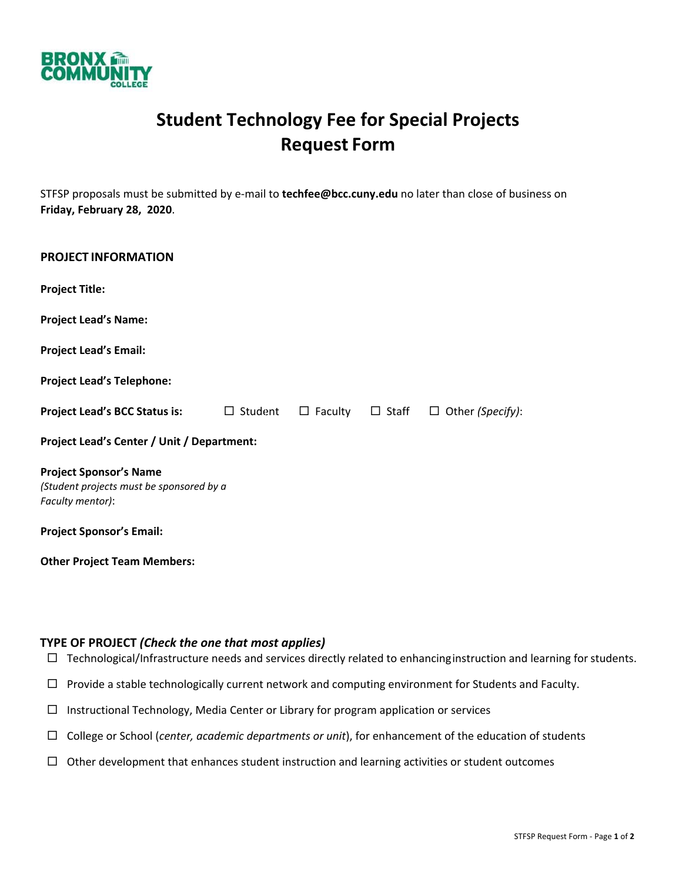

## **Student Technology Fee for Special Projects Request Form**

STFSP proposals must be submitted by e‐mail to **techfee@bcc.cuny.edu** no later than close of business on **Friday, February 28, 2020**.

| <b>PROJECT INFORMATION</b>                                                                    |  |  |  |                                                     |
|-----------------------------------------------------------------------------------------------|--|--|--|-----------------------------------------------------|
| <b>Project Title:</b>                                                                         |  |  |  |                                                     |
| <b>Project Lead's Name:</b>                                                                   |  |  |  |                                                     |
| <b>Project Lead's Email:</b>                                                                  |  |  |  |                                                     |
| <b>Project Lead's Telephone:</b>                                                              |  |  |  |                                                     |
| <b>Project Lead's BCC Status is:</b> □ Student                                                |  |  |  | $\Box$ Faculty $\Box$ Staff $\Box$ Other (Specify): |
| Project Lead's Center / Unit / Department:                                                    |  |  |  |                                                     |
| <b>Project Sponsor's Name</b><br>(Student projects must be sponsored by a<br>Faculty mentor): |  |  |  |                                                     |
| <b>Project Sponsor's Email:</b>                                                               |  |  |  |                                                     |
| <b>Other Project Team Members:</b>                                                            |  |  |  |                                                     |

## **TYPE OF PROJECT** *(Check the one that most applies)*

- $\Box$  Technological/Infrastructure needs and services directly related to enhancing instruction and learning for students.
- $\Box$  Provide a stable technologically current network and computing environment for Students and Faculty.
- $\Box$  Instructional Technology, Media Center or Library for program application or services
- College or School (*center, academic departments or unit*), for enhancement of the education of students
- $\Box$  Other development that enhances student instruction and learning activities or student outcomes